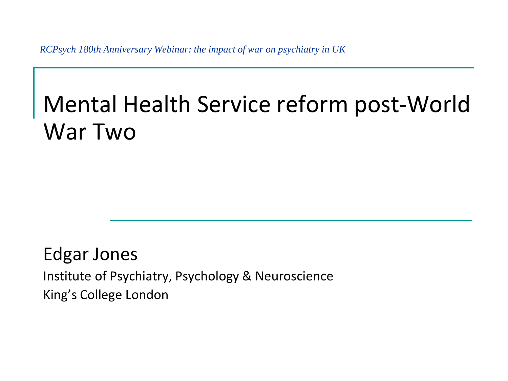*RCPsych 180th Anniversary Webinar: the impact of war on psychiatry in UK*

# Mental Health Service reform post-World War Two

Edgar Jones Institute of Psychiatry, Psychology & Neuroscience King's College London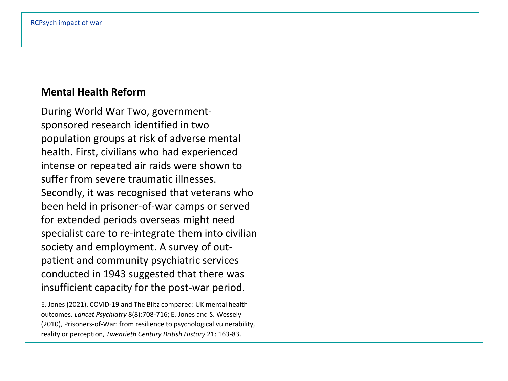# **Mental Health Reform**

During World War Two, governmentsponsored research identified in two population groups at risk of adverse mental health. First, civilians who had experienced intense or repeated air raids were shown to suffer from severe traumatic illnesses. Secondly, it was recognised that veterans who been held in prisoner-of-war camps or served for extended periods overseas might need specialist care to re-integrate them into civilian society and employment. A survey of outpatient and community psychiatric services conducted in 1943 suggested that there was insufficient capacity for the post-war period.

E. Jones (2021), COVID-19 and The Blitz compared: UK mental health outcomes. *Lancet Psychiatry* 8(8):708-716; E. Jones and S. Wessely (2010), Prisoners-of-War: from resilience to psychological vulnerability, reality or perception, *Twentieth Century British History* 21: 163-83.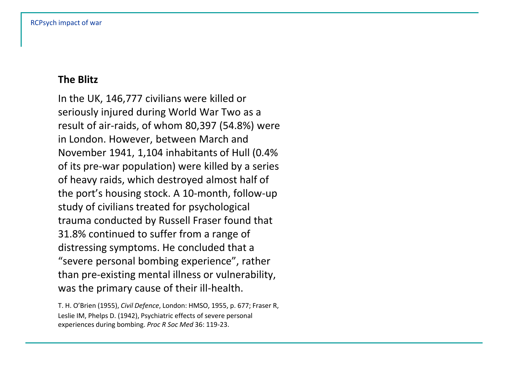# **The Blitz**

In the UK, 146,777 civilians were killed or seriously injured during World War Two as a result of air-raids, of whom 80,397 (54.8%) were in London. However, between March and November 1941, 1,104 inhabitants of Hull (0.4% of its pre-war population) were killed by a series of heavy raids, which destroyed almost half of the port's housing stock. A 10-month, follow-up study of civilians treated for psychological trauma conducted by Russell Fraser found that 31.8% continued to suffer from a range of distressing symptoms. He concluded that a "severe personal bombing experience", rather than pre-existing mental illness or vulnerability, was the primary cause of their ill-health.

T. H. O'Brien (1955), *Civil Defence*, London: HMSO, 1955, p. 677; Fraser R, Leslie IM, Phelps D. (1942), Psychiatric effects of severe personal experiences during bombing. *Proc R Soc Med* 36: 119-23.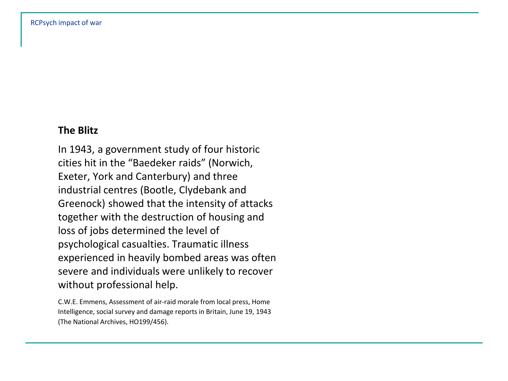## **The Blitz**

In 1943, a government study of four historic cities hit in the "Baedeker raids" (Norwich, Exeter, York and Canterbury) and three industrial centres (Bootle, Clydebank and Greenock) showed that the intensity of attacks together with the destruction of housing and loss of jobs determined the level of psychological casualties. Traumatic illness experienced in heavily bombed areas was often severe and individuals were unlikely to recover without professional help.

C.W.E. Emmens, Assessment of air-raid morale from local press, Home Intelligence, social survey and damage reports in Britain, June 19, 1943 (The National Archives, HO199/456).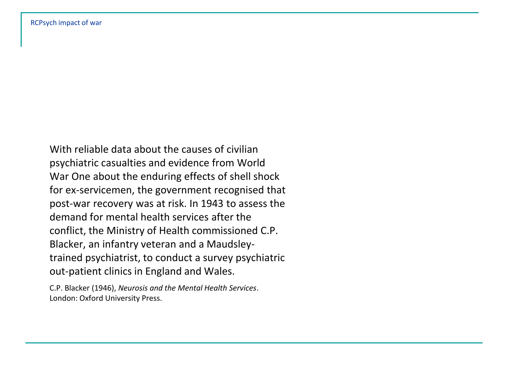With reliable data about the causes of civilian psychiatric casualties and evidence from World War One about the enduring effects of shell shock for ex-servicemen, the government recognised that post-war recovery was at risk. In 1943 to assess the demand for mental health services after the conflict, the Ministry of Health commissioned C.P. Blacker, an infantry veteran and a Maudsleytrained psychiatrist, to conduct a survey psychiatric out-patient clinics in England and Wales.

C.P. Blacker (1946), *Neurosis and the Mental Health Services*. London: Oxford University Press.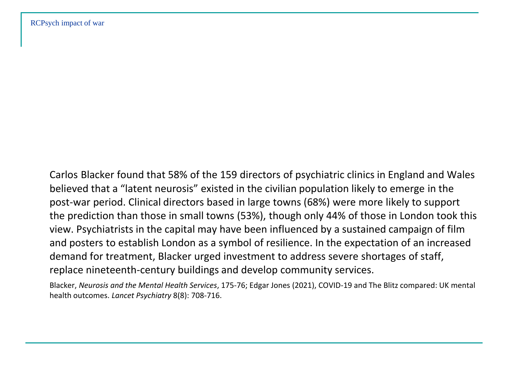Carlos Blacker found that 58% of the 159 directors of psychiatric clinics in England and Wales believed that a "latent neurosis" existed in the civilian population likely to emerge in the post-war period. Clinical directors based in large towns (68%) were more likely to support the prediction than those in small towns (53%), though only 44% of those in London took this view. Psychiatrists in the capital may have been influenced by a sustained campaign of film and posters to establish London as a symbol of resilience. In the expectation of an increased demand for treatment, Blacker urged investment to address severe shortages of staff, replace nineteenth-century buildings and develop community services.

Blacker, *Neurosis and the Mental Health Services*, 175-76; Edgar Jones (2021), COVID-19 and The Blitz compared: UK mental health outcomes. *Lancet Psychiatry* 8(8): 708-716.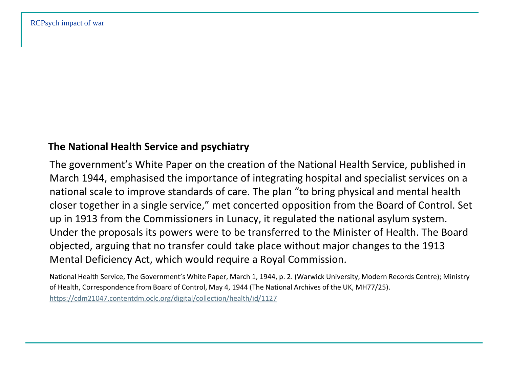#### **The National Health Service and psychiatry**

The government's White Paper on the creation of the National Health Service, published in March 1944, emphasised the importance of integrating hospital and specialist services on a national scale to improve standards of care. The plan "to bring physical and mental health closer together in a single service," met concerted opposition from the Board of Control. Set up in 1913 from the Commissioners in Lunacy, it regulated the national asylum system. Under the proposals its powers were to be transferred to the Minister of Health. The Board objected, arguing that no transfer could take place without major changes to the 1913 Mental Deficiency Act, which would require a Royal Commission.

National Health Service, The Government's White Paper, March 1, 1944, p. 2. (Warwick University, Modern Records Centre); Ministry of Health, Correspondence from Board of Control, May 4, 1944 (The National Archives of the UK, MH77/25).

<https://cdm21047.contentdm.oclc.org/digital/collection/health/id/1127>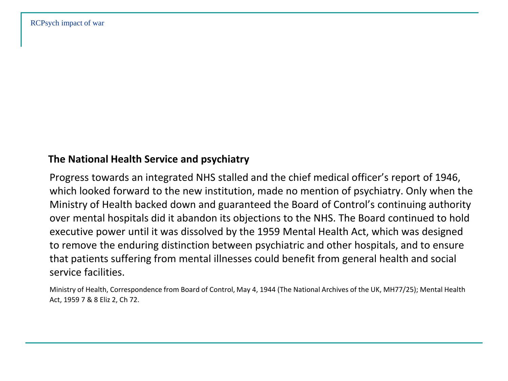#### **The National Health Service and psychiatry**

Progress towards an integrated NHS stalled and the chief medical officer's report of 1946, which looked forward to the new institution, made no mention of psychiatry. Only when the Ministry of Health backed down and guaranteed the Board of Control's continuing authority over mental hospitals did it abandon its objections to the NHS. The Board continued to hold executive power until it was dissolved by the 1959 Mental Health Act, which was designed to remove the enduring distinction between psychiatric and other hospitals, and to ensure that patients suffering from mental illnesses could benefit from general health and social service facilities.

Ministry of Health, Correspondence from Board of Control, May 4, 1944 (The National Archives of the UK, MH77/25); Mental Health Act, 1959 7 & 8 Eliz 2, Ch 72.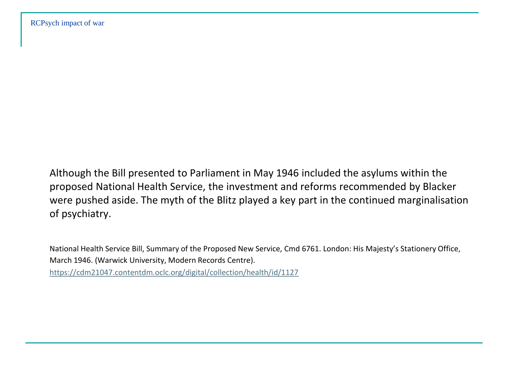Although the Bill presented to Parliament in May 1946 included the asylums within the proposed National Health Service, the investment and reforms recommended by Blacker were pushed aside. The myth of the Blitz played a key part in the continued marginalisation of psychiatry.

National Health Service Bill, Summary of the Proposed New Service, Cmd 6761. London: His Majesty's Stationery Office, March 1946. (Warwick University, Modern Records Centre).

<https://cdm21047.contentdm.oclc.org/digital/collection/health/id/1127>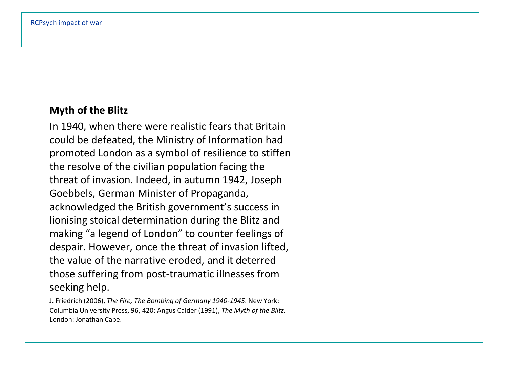# **Myth of the Blitz**

In 1940, when there were realistic fears that Britain could be defeated, the Ministry of Information had promoted London as a symbol of resilience to stiffen the resolve of the civilian population facing the threat of invasion. Indeed, in autumn 1942, Joseph Goebbels, German Minister of Propaganda, acknowledged the British government's success in lionising stoical determination during the Blitz and making "a legend of London" to counter feelings of despair. However, once the threat of invasion lifted, the value of the narrative eroded, and it deterred those suffering from post-traumatic illnesses from seeking help.

J. Friedrich (2006), *The Fire, The Bombing of Germany 1940-1945*. New York: Columbia University Press, 96, 420; Angus Calder (1991), *The Myth of the Blitz*. London: Jonathan Cape.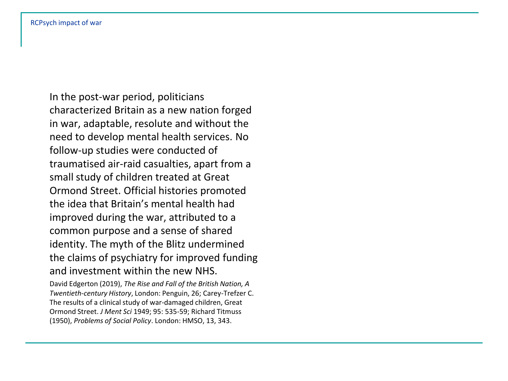In the post-war period, politicians characterized Britain as a new nation forged in war, adaptable, resolute and without the need to develop mental health services. No follow-up studies were conducted of traumatised air-raid casualties, apart from a small study of children treated at Great Ormond Street. Official histories promoted the idea that Britain's mental health had improved during the war, attributed to a common purpose and a sense of shared identity. The myth of the Blitz undermined the claims of psychiatry for improved funding and investment within the new NHS.

David Edgerton (2019), *The Rise and Fall of the British Nation, A Twentieth-century History*, London: Penguin, 26; Carey-Trefzer C. The results of a clinical study of war-damaged children, Great Ormond Street. *J Ment Sci* 1949; 95: 535-59; Richard Titmuss (1950), *Problems of Social Policy*. London: HMSO, 13, 343.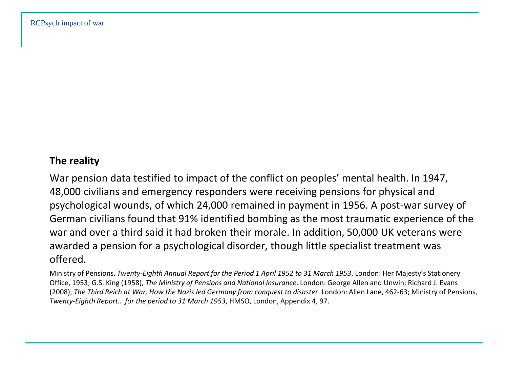## **The reality**

War pension data testified to impact of the conflict on peoples' mental health. In 1947, 48,000 civilians and emergency responders were receiving pensions for physical and psychological wounds, of which 24,000 remained in payment in 1956. A post-war survey of German civilians found that 91% identified bombing as the most traumatic experience of the war and over a third said it had broken their morale. In addition, 50,000 UK veterans were awarded a pension for a psychological disorder, though little specialist treatment was offered.

Ministry of Pensions. *Twenty-Eighth Annual Report for the Period 1 April 1952 to 31 March 1953*. London: Her Majesty's Stationery Office, 1953; G.S. King (1958), *The Ministry of Pensions and National Insurance*. London: George Allen and Unwin; Richard J. Evans (2008), *The Third Reich at War, How the Nazis led Germany from conquest to disaster*. London: Allen Lane, 462-63; Ministry of Pensions, *Twenty-Eighth Report… for the period to 31 March 1953*, HMSO, London, Appendix 4, 97.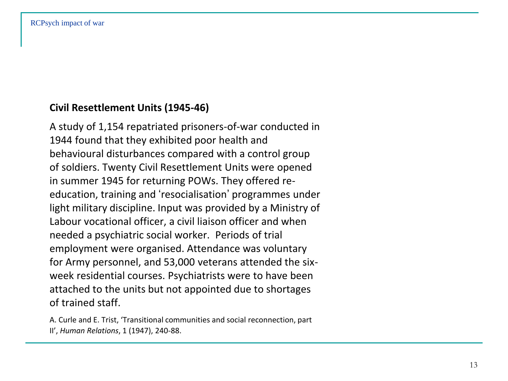# **Civil Resettlement Units (1945-46)**

A study of 1,154 repatriated prisoners-of-war conducted in 1944 found that they exhibited poor health and behavioural disturbances compared with a control group of soldiers. Twenty Civil Resettlement Units were opened in summer 1945 for returning POWs. They offered reeducation, training and 'resocialisation' programmes under light military discipline. Input was provided by a Ministry of Labour vocational officer, a civil liaison officer and when needed a psychiatric social worker. Periods of trial employment were organised. Attendance was voluntary for Army personnel, and 53,000 veterans attended the sixweek residential courses. Psychiatrists were to have been attached to the units but not appointed due to shortages of trained staff.

A. Curle and E. Trist, 'Transitional communities and social reconnection, part II', *Human Relations*, 1 (1947), 240-88.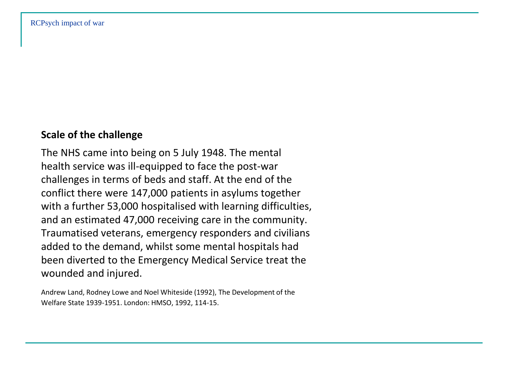## **Scale of the challenge**

The NHS came into being on 5 July 1948. The mental health service was ill-equipped to face the post-war challenges in terms of beds and staff. At the end of the conflict there were 147,000 patients in asylums together with a further 53,000 hospitalised with learning difficulties, and an estimated 47,000 receiving care in the community. Traumatised veterans, emergency responders and civilians added to the demand, whilst some mental hospitals had been diverted to the Emergency Medical Service treat the wounded and injured.

Andrew Land, Rodney Lowe and Noel Whiteside (1992), The Development of the Welfare State 1939-1951. London: HMSO, 1992, 114-15.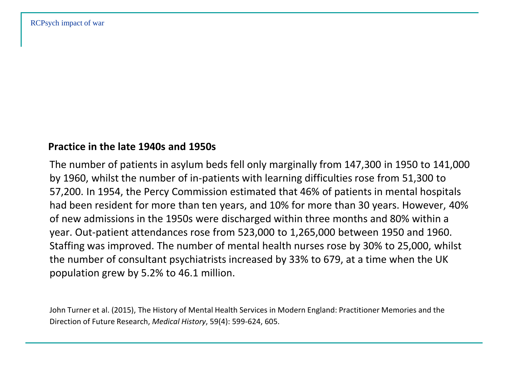#### **Practice in the late 1940s and 1950s**

The number of patients in asylum beds fell only marginally from 147,300 in 1950 to 141,000 by 1960, whilst the number of in-patients with learning difficulties rose from 51,300 to 57,200. In 1954, the Percy Commission estimated that 46% of patients in mental hospitals had been resident for more than ten years, and 10% for more than 30 years. However, 40% of new admissions in the 1950s were discharged within three months and 80% within a year. Out-patient attendances rose from 523,000 to 1,265,000 between 1950 and 1960. Staffing was improved. The number of mental health nurses rose by 30% to 25,000, whilst the number of consultant psychiatrists increased by 33% to 679, at a time when the UK population grew by 5.2% to 46.1 million.

John Turner et al. (2015), The History of Mental Health Services in Modern England: Practitioner Memories and the Direction of Future Research, *Medical History*, 59(4): 599-624, 605.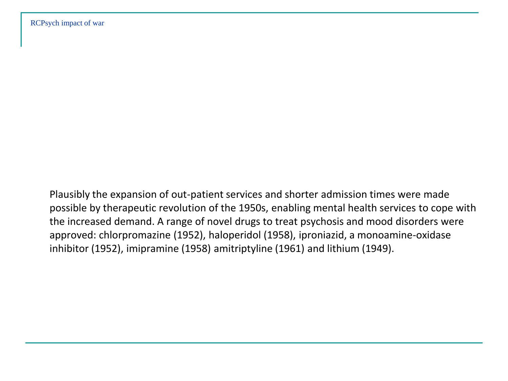Plausibly the expansion of out-patient services and shorter admission times were made possible by therapeutic revolution of the 1950s, enabling mental health services to cope with the increased demand. A range of novel drugs to treat psychosis and mood disorders were approved: chlorpromazine (1952), haloperidol (1958), iproniazid, a monoamine-oxidase inhibitor (1952), imipramine (1958) amitriptyline (1961) and lithium (1949).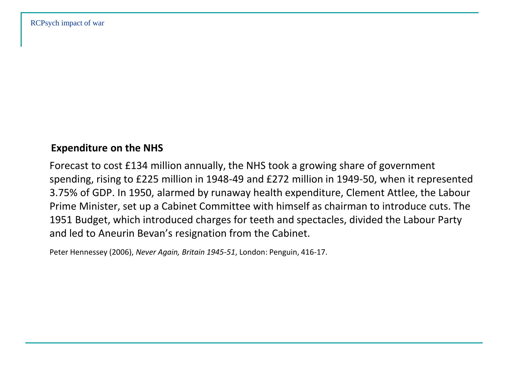### **Expenditure on the NHS**

Forecast to cost £134 million annually, the NHS took a growing share of government spending, rising to £225 million in 1948-49 and £272 million in 1949-50, when it represented 3.75% of GDP. In 1950, alarmed by runaway health expenditure, Clement Attlee, the Labour Prime Minister, set up a Cabinet Committee with himself as chairman to introduce cuts. The 1951 Budget, which introduced charges for teeth and spectacles, divided the Labour Party and led to Aneurin Bevan's resignation from the Cabinet.

Peter Hennessey (2006), *Never Again, Britain 1945-51*, London: Penguin, 416-17.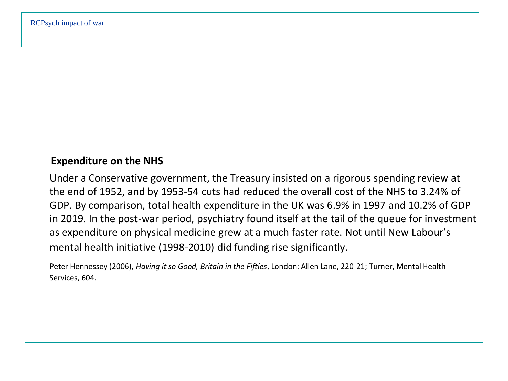# **Expenditure on the NHS**

Under a Conservative government, the Treasury insisted on a rigorous spending review at the end of 1952, and by 1953-54 cuts had reduced the overall cost of the NHS to 3.24% of GDP. By comparison, total health expenditure in the UK was 6.9% in 1997 and 10.2% of GDP in 2019. In the post-war period, psychiatry found itself at the tail of the queue for investment as expenditure on physical medicine grew at a much faster rate. Not until New Labour's mental health initiative (1998-2010) did funding rise significantly.

Peter Hennessey (2006), *Having it so Good, Britain in the Fifties*, London: Allen Lane, 220-21; Turner, Mental Health Services, 604.